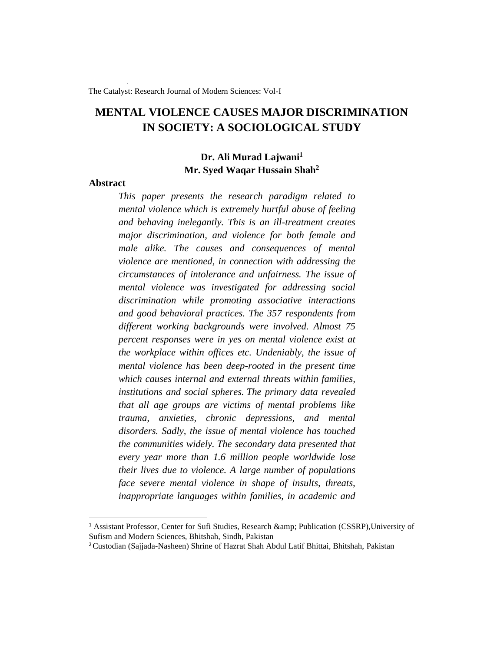The Catalyst: Research Journal of Modern Sciences: Vol-I

# **MENTAL VIOLENCE CAUSES MAJOR DISCRIMINATION IN SOCIETY: A SOCIOLOGICAL STUDY**

## **Dr. Ali Murad Lajwani<sup>1</sup> Mr. Syed Waqar Hussain Shah<sup>2</sup>**

## **Abstract**

*This paper presents the research paradigm related to mental violence which is extremely hurtful abuse of feeling and behaving inelegantly. This is an ill-treatment creates major discrimination, and violence for both female and male alike. The causes and consequences of mental violence are mentioned, in connection with addressing the circumstances of intolerance and unfairness. The issue of mental violence was investigated for addressing social discrimination while promoting associative interactions and good behavioral practices. The 357 respondents from different working backgrounds were involved. Almost 75 percent responses were in yes on mental violence exist at the workplace within offices etc. Undeniably, the issue of mental violence has been deep-rooted in the present time which causes internal and external threats within families, institutions and social spheres. The primary data revealed that all age groups are victims of mental problems like trauma, anxieties, chronic depressions, and mental disorders. Sadly, the issue of mental violence has touched the communities widely. The secondary data presented that every year more than 1.6 million people worldwide lose their lives due to violence. A large number of populations face severe mental violence in shape of insults, threats, inappropriate languages within families, in academic and* 

<sup>&</sup>lt;sup>1</sup> Assistant Professor, Center for Sufi Studies, Research & amp; Publication (CSSRP), University of Sufism and Modern Sciences, Bhitshah, Sindh, Pakistan

<sup>2</sup>Custodian (Sajjada-Nasheen) Shrine of Hazrat Shah Abdul Latif Bhittai, Bhitshah, Pakistan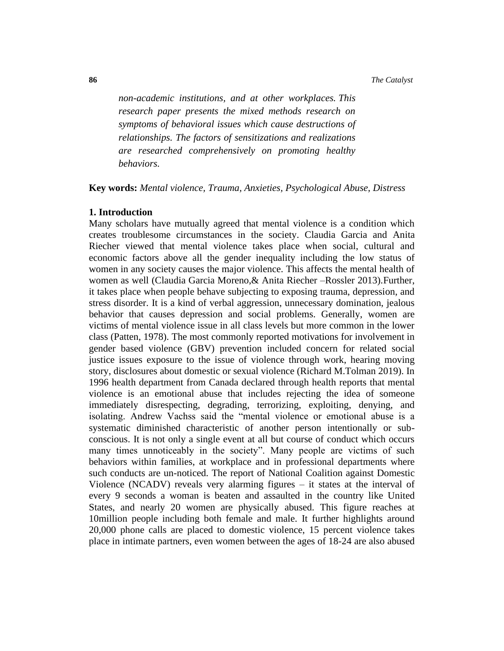*non-academic institutions, and at other workplaces. This research paper presents the mixed methods research on symptoms of behavioral issues which cause destructions of relationships. The factors of sensitizations and realizations are researched comprehensively on promoting healthy behaviors.*

**Key words:** *Mental violence, Trauma, Anxieties, Psychological Abuse, Distress* 

#### **1. Introduction**

Many scholars have mutually agreed that mental violence is a condition which creates troublesome circumstances in the society. Claudia Garcia and Anita Riecher viewed that mental violence takes place when social, cultural and economic factors above all the gender inequality including the low status of women in any society causes the major violence. This affects the mental health of women as well (Claudia Garcia Moreno,& Anita Riecher –Rossler 2013).Further, it takes place when people behave subjecting to exposing trauma, depression, and stress disorder. It is a kind of verbal aggression, unnecessary domination, jealous behavior that causes depression and social problems. Generally, women are victims of mental violence issue in all class levels but more common in the lower class (Patten, 1978). The most commonly reported motivations for involvement in gender based violence (GBV) prevention included concern for related social justice issues exposure to the issue of violence through work, hearing moving story, disclosures about domestic or sexual violence (Richard M.Tolman 2019). In 1996 health department from Canada declared through health reports that mental violence is an emotional abuse that includes rejecting the idea of someone immediately disrespecting, degrading, terrorizing, exploiting, denying, and isolating. Andrew Vachss said the "mental violence or emotional abuse is a systematic diminished characteristic of another person intentionally or subconscious. It is not only a single event at all but course of conduct which occurs many times unnoticeably in the society". Many people are victims of such behaviors within families, at workplace and in professional departments where such conducts are un-noticed. The report of National Coalition against Domestic Violence (NCADV) reveals very alarming figures – it states at the interval of every 9 seconds a woman is beaten and assaulted in the country like United States, and nearly 20 women are physically abused. This figure reaches at 10million people including both female and male. It further highlights around 20,000 phone calls are placed to domestic violence, 15 percent violence takes place in intimate partners, even women between the ages of 18-24 are also abused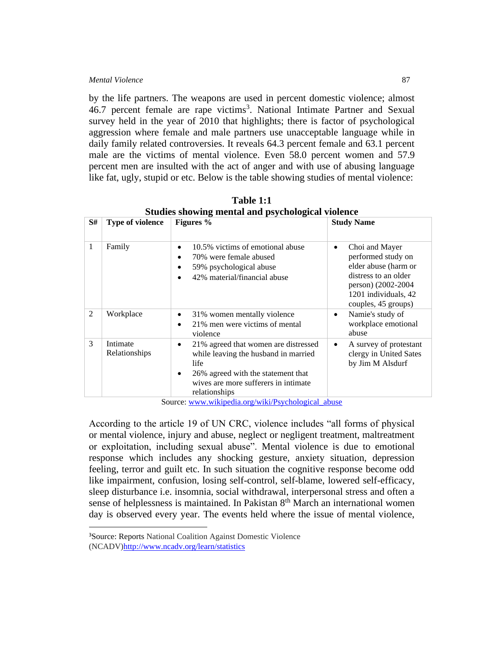#### *Mental Violence* 87

by the life partners. The weapons are used in percent domestic violence; almost 46.7 percent female are rape victims<sup>3</sup>. National Intimate Partner and Sexual survey held in the year of 2010 that highlights; there is factor of psychological aggression where female and male partners use unacceptable language while in daily family related controversies. It reveals 64.3 percent female and 63.1 percent male are the victims of mental violence. Even 58.0 percent women and 57.9 percent men are insulted with the act of anger and with use of abusing language like fat, ugly, stupid or etc. Below is the table showing studies of mental violence:

| Studies showing include and psychological violence |                           |                                                                                                                                                                                               |                                                                                                                                                                        |  |  |  |  |  |  |
|----------------------------------------------------|---------------------------|-----------------------------------------------------------------------------------------------------------------------------------------------------------------------------------------------|------------------------------------------------------------------------------------------------------------------------------------------------------------------------|--|--|--|--|--|--|
| S#                                                 | <b>Type of violence</b>   | Figures %                                                                                                                                                                                     | <b>Study Name</b>                                                                                                                                                      |  |  |  |  |  |  |
| 1                                                  | Family                    | 10.5% victims of emotional abuse<br>$\bullet$<br>70% were female abused<br>$\bullet$<br>59% psychological abuse<br>$\bullet$<br>42% material/financial abuse<br>$\bullet$                     | Choi and Mayer<br>$\bullet$<br>performed study on<br>elder abuse (harm or<br>distress to an older<br>person) (2002-2004<br>1201 individuals, 42<br>couples, 45 groups) |  |  |  |  |  |  |
| $\mathfrak{D}$                                     | Workplace                 | 31% women mentally violence<br>٠<br>21% men were victims of mental<br>$\bullet$<br>violence                                                                                                   | Namie's study of<br>$\bullet$<br>workplace emotional<br>abuse                                                                                                          |  |  |  |  |  |  |
| 3                                                  | Intimate<br>Relationships | 21% agreed that women are distressed<br>٠<br>while leaving the husband in married<br>life<br>26% agreed with the statement that<br>٠<br>wives are more sufferers in intimate<br>relationships | A survey of protestant<br>$\bullet$<br>clergy in United Sates<br>by Jim M Alsdurf                                                                                      |  |  |  |  |  |  |

**Table 1:1 Studies showing mental and psychological violence** 

Source: [www.wikipedia.org/wiki/Psychological\\_abuse](http://www.wikipedia.org/wiki/Psychological_abuse)

According to the article 19 of UN CRC, violence includes "all forms of physical or mental violence, injury and abuse, neglect or negligent treatment, maltreatment or exploitation, including sexual abuse". Mental violence is due to emotional response which includes any shocking gesture, anxiety situation, depression feeling, terror and guilt etc. In such situation the cognitive response become odd like impairment, confusion, losing self-control, self-blame, lowered self-efficacy, sleep disturbance i.e. insomnia, social withdrawal, interpersonal stress and often a sense of helplessness is maintained. In Pakistan  $8<sup>th</sup>$  March an international women day is observed every year. The events held where the issue of mental violence,

<sup>3</sup>Source: Reports National Coalition Against Domestic Violence (NCADV[\)http://www.ncadv.org/learn/statistics](http://www.ncadv.org/learn/statistics)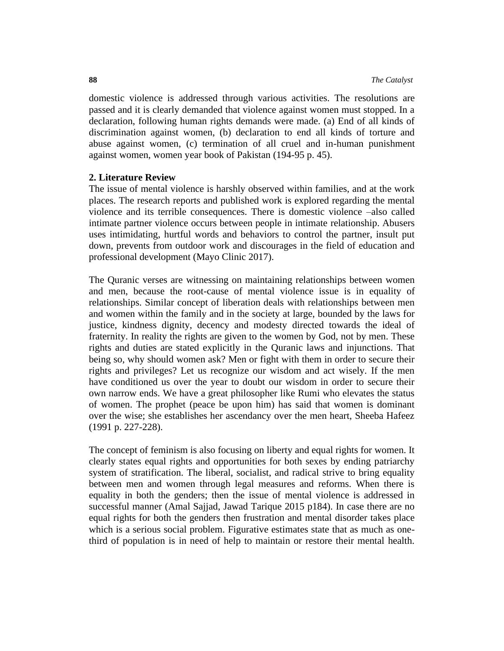domestic violence is addressed through various activities. The resolutions are passed and it is clearly demanded that violence against women must stopped. In a declaration, following human rights demands were made. (a) End of all kinds of discrimination against women, (b) declaration to end all kinds of torture and abuse against women, (c) termination of all cruel and in-human punishment against women, women year book of Pakistan (194-95 p. 45).

## **2. Literature Review**

The issue of mental violence is harshly observed within families, and at the work places. The research reports and published work is explored regarding the mental violence and its terrible consequences. There is domestic violence –also called intimate partner violence occurs between people in intimate relationship. Abusers uses intimidating, hurtful words and behaviors to control the partner, insult put down, prevents from outdoor work and discourages in the field of education and professional development (Mayo Clinic 2017).

The Quranic verses are witnessing on maintaining relationships between women and men, because the root-cause of mental violence issue is in equality of relationships. Similar concept of liberation deals with relationships between men and women within the family and in the society at large, bounded by the laws for justice, kindness dignity, decency and modesty directed towards the ideal of fraternity. In reality the rights are given to the women by God, not by men. These rights and duties are stated explicitly in the Quranic laws and injunctions. That being so, why should women ask? Men or fight with them in order to secure their rights and privileges? Let us recognize our wisdom and act wisely. If the men have conditioned us over the year to doubt our wisdom in order to secure their own narrow ends. We have a great philosopher like Rumi who elevates the status of women. The prophet (peace be upon him) has said that women is dominant over the wise; she establishes her ascendancy over the men heart, Sheeba Hafeez (1991 p. 227-228).

The concept of feminism is also focusing on liberty and equal rights for women. It clearly states equal rights and opportunities for both sexes by ending patriarchy system of stratification. The liberal, socialist, and radical strive to bring equality between men and women through legal measures and reforms. When there is equality in both the genders; then the issue of mental violence is addressed in successful manner (Amal Sajjad, Jawad Tarique 2015 p184). In case there are no equal rights for both the genders then frustration and mental disorder takes place which is a serious social problem. Figurative estimates state that as much as onethird of population is in need of help to maintain or restore their mental health.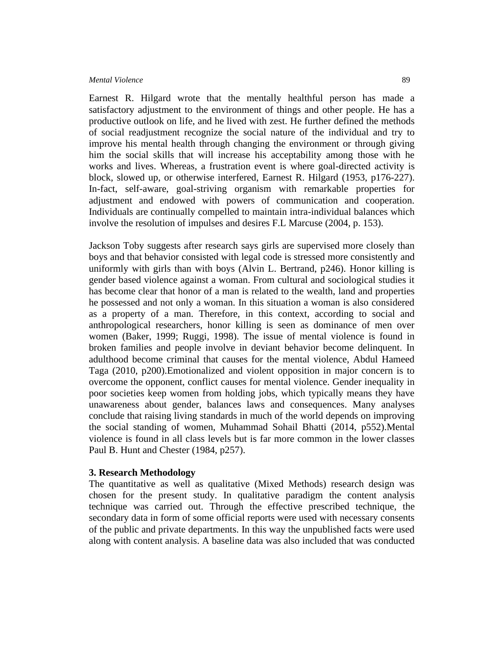Earnest R. Hilgard wrote that the mentally healthful person has made a satisfactory adjustment to the environment of things and other people. He has a productive outlook on life, and he lived with zest. He further defined the methods of social readjustment recognize the social nature of the individual and try to improve his mental health through changing the environment or through giving him the social skills that will increase his acceptability among those with he works and lives. Whereas, a frustration event is where goal-directed activity is block, slowed up, or otherwise interfered, Earnest R. Hilgard (1953, p176-227). In-fact, self-aware, goal-striving organism with remarkable properties for adjustment and endowed with powers of communication and cooperation. Individuals are continually compelled to maintain intra-individual balances which involve the resolution of impulses and desires F.L Marcuse (2004, p. 153).

Jackson Toby suggests after research says girls are supervised more closely than boys and that behavior consisted with legal code is stressed more consistently and uniformly with girls than with boys (Alvin L. Bertrand, p246). Honor killing is gender based violence against a woman. From cultural and sociological studies it has become clear that honor of a man is related to the wealth, land and properties he possessed and not only a woman. In this situation a woman is also considered as a property of a man. Therefore, in this context, according to social and anthropological researchers, honor killing is seen as dominance of men over women (Baker, 1999; Ruggi, 1998). The issue of mental violence is found in broken families and people involve in deviant behavior become delinquent. In adulthood become criminal that causes for the mental violence, Abdul Hameed Taga (2010, p200).Emotionalized and violent opposition in major concern is to overcome the opponent, conflict causes for mental violence. Gender inequality in poor societies keep women from holding jobs, which typically means they have unawareness about gender, balances laws and consequences. Many analyses conclude that raising living standards in much of the world depends on improving the social standing of women, Muhammad Sohail Bhatti (2014, p552).Mental violence is found in all class levels but is far more common in the lower classes Paul B. Hunt and Chester (1984, p257).

#### **3. Research Methodology**

The quantitative as well as qualitative (Mixed Methods) research design was chosen for the present study. In qualitative paradigm the content analysis technique was carried out. Through the effective prescribed technique, the secondary data in form of some official reports were used with necessary consents of the public and private departments. In this way the unpublished facts were used along with content analysis. A baseline data was also included that was conducted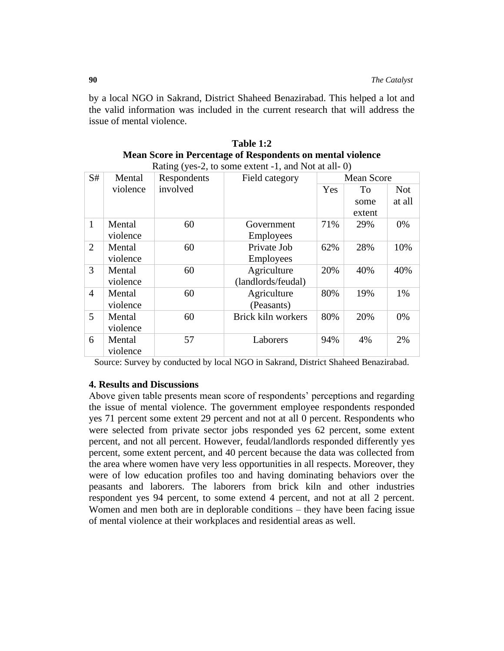by a local NGO in Sakrand, District Shaheed Benazirabad. This helped a lot and the valid information was included in the current research that will address the issue of mental violence.

| Rating (yes-2, to some extent -1, and Not at all-0) |          |             |                    |                   |        |            |  |  |  |
|-----------------------------------------------------|----------|-------------|--------------------|-------------------|--------|------------|--|--|--|
| S#                                                  | Mental   | Respondents | Field category     | <b>Mean Score</b> |        |            |  |  |  |
|                                                     | violence | involved    |                    | <b>Yes</b>        | To     | <b>Not</b> |  |  |  |
|                                                     |          |             |                    |                   | some   | at all     |  |  |  |
|                                                     |          |             |                    |                   | extent |            |  |  |  |
| $\mathbf{1}$                                        | Mental   | 60          | Government         | 71%               | 29%    | 0%         |  |  |  |
|                                                     | violence |             | <b>Employees</b>   |                   |        |            |  |  |  |
| 2                                                   | Mental   | 60          | Private Job        | 62%               | 28%    | 10%        |  |  |  |
|                                                     | violence |             | <b>Employees</b>   |                   |        |            |  |  |  |
| 3                                                   | Mental   | 60          | Agriculture        | 20%               | 40%    | 40%        |  |  |  |
|                                                     | violence |             | (landlords/feudal) |                   |        |            |  |  |  |
| $\overline{4}$                                      | Mental   | 60          | Agriculture        | 80%               | 19%    | 1%         |  |  |  |
|                                                     | violence |             | (Peasants)         |                   |        |            |  |  |  |
| $\overline{5}$                                      | Mental   | 60          | Brick kiln workers | 80%               | 20%    | 0%         |  |  |  |
|                                                     | violence |             |                    |                   |        |            |  |  |  |
| 6                                                   | Mental   | 57          | Laborers           | 94%               | 4%     | 2%         |  |  |  |
|                                                     | violence |             |                    |                   |        |            |  |  |  |

**Table 1:2 Mean Score in Percentage of Respondents on mental violence** 

Source: Survey by conducted by local NGO in Sakrand, District Shaheed Benazirabad.

## **4. Results and Discussions**

Above given table presents mean score of respondents' perceptions and regarding the issue of mental violence. The government employee respondents responded yes 71 percent some extent 29 percent and not at all 0 percent. Respondents who were selected from private sector jobs responded yes 62 percent, some extent percent, and not all percent. However, feudal/landlords responded differently yes percent, some extent percent, and 40 percent because the data was collected from the area where women have very less opportunities in all respects. Moreover, they were of low education profiles too and having dominating behaviors over the peasants and laborers. The laborers from brick kiln and other industries respondent yes 94 percent, to some extend 4 percent, and not at all 2 percent. Women and men both are in deplorable conditions – they have been facing issue of mental violence at their workplaces and residential areas as well.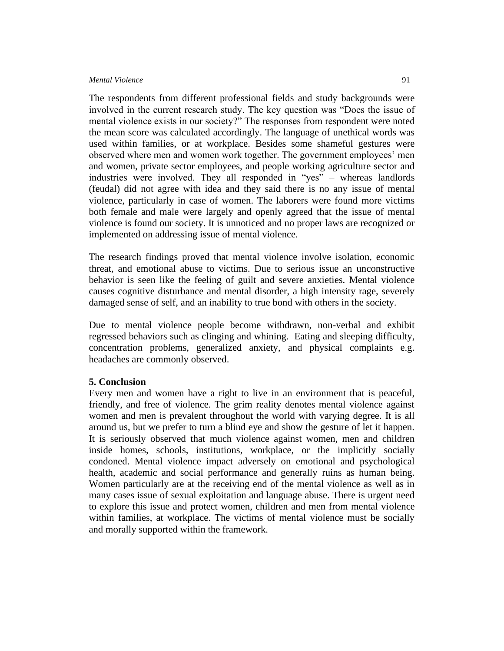#### *Mental Violence* 91

The respondents from different professional fields and study backgrounds were involved in the current research study. The key question was "Does the issue of mental violence exists in our society?" The responses from respondent were noted the mean score was calculated accordingly. The language of unethical words was used within families, or at workplace. Besides some shameful gestures were observed where men and women work together. The government employees' men and women, private sector employees, and people working agriculture sector and industries were involved. They all responded in "yes" – whereas landlords (feudal) did not agree with idea and they said there is no any issue of mental violence, particularly in case of women. The laborers were found more victims both female and male were largely and openly agreed that the issue of mental violence is found our society. It is unnoticed and no proper laws are recognized or implemented on addressing issue of mental violence.

The research findings proved that mental violence involve isolation, economic threat, and emotional abuse to victims. Due to serious issue an unconstructive behavior is seen like the feeling of guilt and severe anxieties. Mental violence causes cognitive disturbance and mental disorder, a high intensity rage, severely damaged sense of self, and an inability to true bond with others in the society.

Due to mental violence people become withdrawn, non-verbal and exhibit regressed behaviors such as clinging and whining. Eating and sleeping difficulty, concentration problems, generalized anxiety, and physical complaints e.g. headaches are commonly observed.

#### **5. Conclusion**

Every men and women have a right to live in an environment that is peaceful, friendly, and free of violence. The grim reality denotes mental violence against women and men is prevalent throughout the world with varying degree. It is all around us, but we prefer to turn a blind eye and show the gesture of let it happen. It is seriously observed that much violence against women, men and children inside homes, schools, institutions, workplace, or the implicitly socially condoned. Mental violence impact adversely on emotional and psychological health, academic and social performance and generally ruins as human being. Women particularly are at the receiving end of the mental violence as well as in many cases issue of sexual exploitation and language abuse. There is urgent need to explore this issue and protect women, children and men from mental violence within families, at workplace. The victims of mental violence must be socially and morally supported within the framework.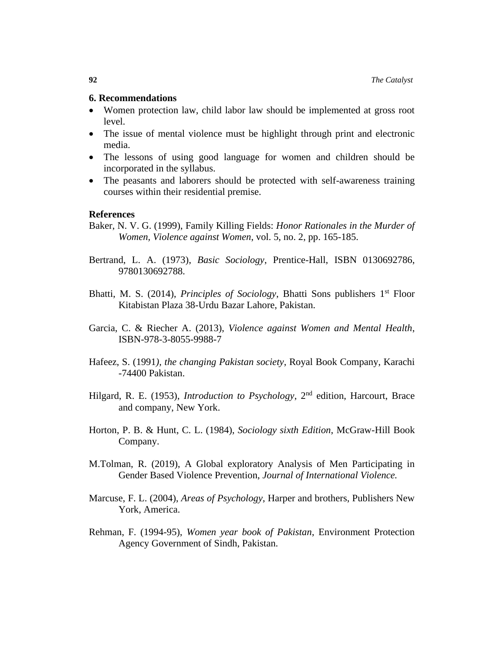### **6. Recommendations**

- Women protection law, child labor law should be implemented at gross root level.
- The issue of mental violence must be highlight through print and electronic media.
- The lessons of using good language for women and children should be incorporated in the syllabus.
- The peasants and laborers should be protected with self-awareness training courses within their residential premise.

## **References**

- Baker, N. V. G. (1999), Family Killing Fields: *Honor Rationales in the Murder of Women, Violence against Women*, vol. 5, no. 2, pp. 165-185.
- Bertrand, L. A. (1973), *Basic Sociology*, Prentice-Hall, ISBN 0130692786, 9780130692788.
- Bhatti, M. S. (2014), *Principles of Sociology*, Bhatti Sons publishers 1<sup>st</sup> Floor Kitabistan Plaza 38-Urdu Bazar Lahore, Pakistan.
- Garcia, C. & Riecher A. (2013), *Violence against Women and Mental Health*, ISBN-978-3-8055-9988-7
- Hafeez, S. (1991*), the changing Pakistan society*, Royal Book Company, Karachi -74400 Pakistan.
- Hilgard, R. E. (1953), *Introduction to Psychology*, 2<sup>nd</sup> edition, Harcourt, Brace and company, New York.
- Horton, P. B. & Hunt, C. L. (1984), *Sociology sixth Edition*, McGraw-Hill Book Company.
- M.Tolman, R. (2019), A Global exploratory Analysis of Men Participating in Gender Based Violence Prevention, *Journal of International Violence.*
- Marcuse, F. L. (2004), *Areas of Psychology*, Harper and brothers, Publishers New York, America.
- Rehman, F. (1994-95), *Women year book of Pakistan*, Environment Protection Agency Government of Sindh, Pakistan.